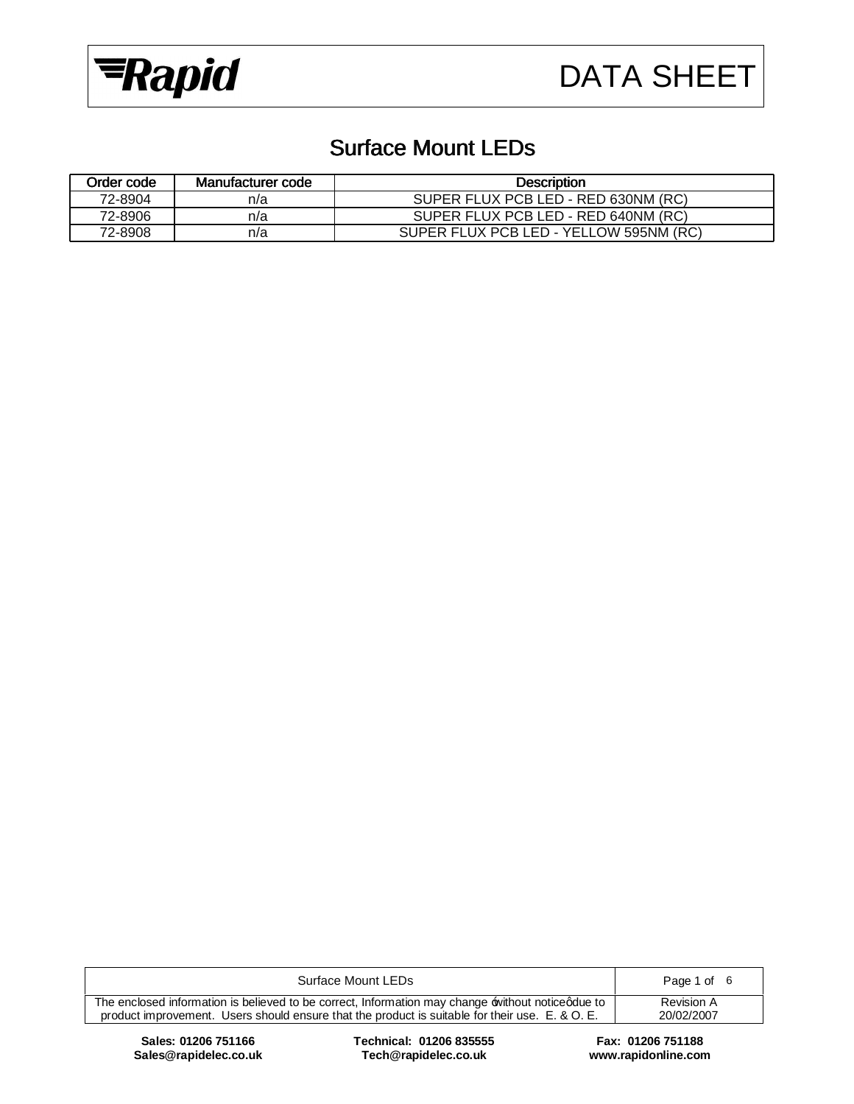

## Surface Mount LEDs

| Order code | Manufacturer code | <b>Description</b>                     |  |  |  |  |
|------------|-------------------|----------------------------------------|--|--|--|--|
| 72-8904    | n/a               | SUPER FLUX PCB LED - RED 630NM (RC)    |  |  |  |  |
| 72-8906    | n/a               | SUPER FLUX PCB LED - RED 640NM (RC)    |  |  |  |  |
| 72-8908    | n/a               | SUPER FLUX PCB LED - YELLOW 595NM (RC) |  |  |  |  |

| Surface Mount LEDs                                                                                                                                                                                   | Page 1 of 6                     |
|------------------------------------------------------------------------------------------------------------------------------------------------------------------------------------------------------|---------------------------------|
| The enclosed information is believed to be correct, Information may change without notice gdue to<br>product improvement. Users should ensure that the product is suitable for their use. E. & O. E. | <b>Revision A</b><br>20/02/2007 |
|                                                                                                                                                                                                      |                                 |

 $Sales@rapidelec.co.uk$ 

**Sales: 01206 751166 Technical: 01206 835555 Fax: 01206 751188**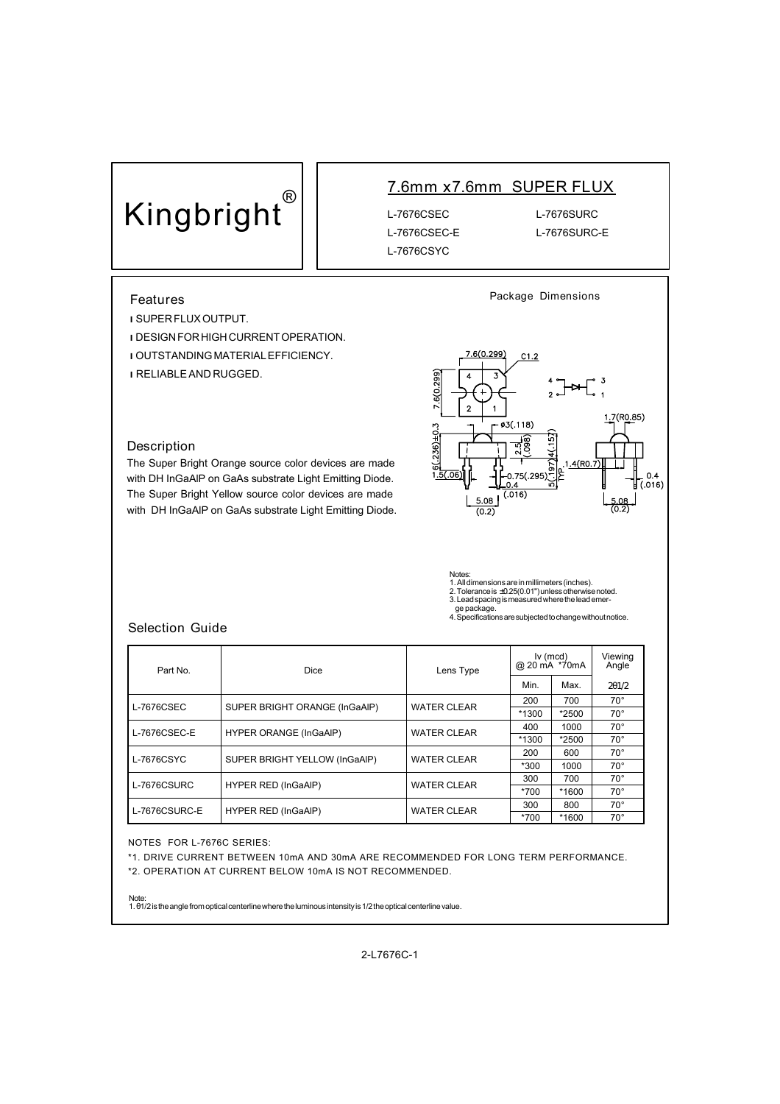# **Kingbright®**

### **7.6mm x7.6mm SUPER FLUX**

L-7676CSEC-E L-7676SURC-E L-7676CSYC

L-7676CSEC L-7676SURC

#### **Features**

**l**SUPER FLUX OUTPUT.

**l**DESIGN FOR HIGH CURRENT OPERATION. *LOUTSTANDING MATERIAL EFFICIENCY.* **l**RELIABLE AND RUGGED.

#### **Description**

The Super Bright Orange source color devices are made with DH InGaAlP on GaAs substrate Light Emitting Diode. The Super Bright Yellow source color devices are made with DH InGaAlP on GaAs substrate Light Emitting Diode.



**Package Dimensions**

Notes: 1. All dimensions are in millimeters (inches). 2. Tolerance is ±0.25(0.01") unless otherwise noted. 3. Lead spacing is measured where the lead emer-

ge package. 4. Specifications are subjected to change without notice.

#### **Selection Guide**

| Part No.      | Dice                          | Lens Type          | $lv$ (mcd)<br>@ 20 mA *70mA |         | Viewing<br>Angle |
|---------------|-------------------------------|--------------------|-----------------------------|---------|------------------|
|               |                               |                    | Min.                        | Max.    | 2q1/2            |
| L-7676CSEC    |                               | <b>WATER CLEAR</b> | 200                         | 700     | $70^{\circ}$     |
|               | SUPER BRIGHT ORANGE (InGaAIP) |                    | *1300                       | *2500   | $70^{\circ}$     |
| L-7676CSEC-E  |                               |                    | 400                         | 1000    | $70^{\circ}$     |
|               | <b>HYPER ORANGE (InGaAIP)</b> | <b>WATER CLEAR</b> | *1300                       | $*2500$ | $70^{\circ}$     |
| L-7676CSYC    | SUPER BRIGHT YELLOW (InGaAIP) | <b>WATER CLEAR</b> | 200                         | 600     | $70^{\circ}$     |
|               |                               |                    | *300                        | 1000    | $70^{\circ}$     |
| L-7676CSURC   | <b>HYPER RED (InGaAIP)</b>    |                    | 300                         | 700     | $70^{\circ}$     |
|               |                               | <b>WATER CLEAR</b> | *700                        | *1600   | $70^{\circ}$     |
|               |                               | <b>WATER CLEAR</b> | 300                         | 800     | $70^{\circ}$     |
| L-7676CSURC-E | <b>HYPER RED (InGaAIP)</b>    |                    | *700                        | *1600   | $70^{\circ}$     |

NOTES FOR L-7676C SERIES:

\*1. DRIVE CURRENT BETWEEN 10mA AND 30mA ARE RECOMMENDED FOR LONG TERM PERFORMANCE.

\*2. OPERATION AT CURRENT BELOW 10mA IS NOT RECOMMENDED.

Note: 1. θ1/2 is the angle from optical centerline where the luminous intensity is 1/2 the optical centerline value.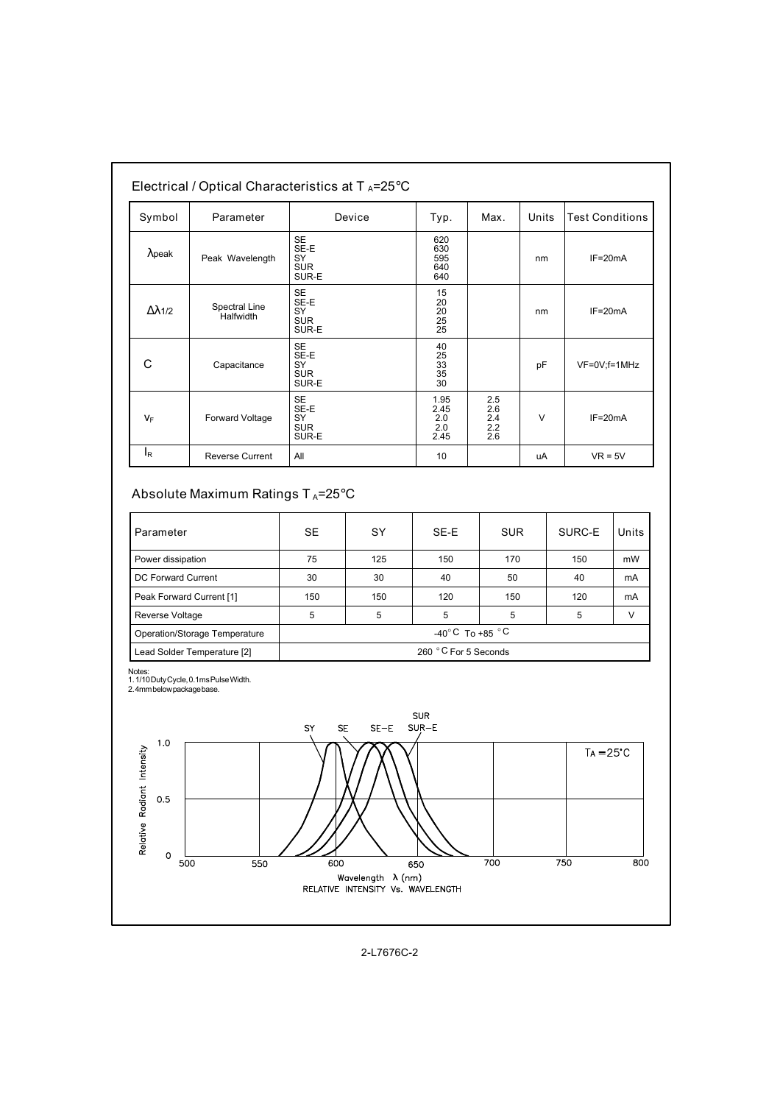| Symbol<br>Parameter  |                            | Device                                         | Typ.                                                      | Max.                            | Units  | <b>Test Conditions</b> |  |
|----------------------|----------------------------|------------------------------------------------|-----------------------------------------------------------|---------------------------------|--------|------------------------|--|
| $\lambda$ peak       | Peak Wavelength            | SE<br>SE-E<br>SY<br><b>SUR</b><br>SUR-E        | 620<br>630<br>595<br>640<br>640                           |                                 | nm     | $IF=20mA$              |  |
| $\Delta \lambda$ 1/2 | Spectral Line<br>Halfwidth | <b>SE</b><br>SE-E<br>SY<br><b>SUR</b><br>SUR-E | 15<br>20<br>$\frac{20}{25}$                               |                                 | nm     | $IF=20mA$              |  |
| С                    | Capacitance                | <b>SE</b><br>SE-E<br>SY<br><b>SUR</b><br>SUR-E | 40<br>25<br>$\begin{array}{c} 33 \\ 35 \end{array}$<br>30 |                                 | pF     | VF=0V;f=1MHz           |  |
| $V_F$                | Forward Voltage            | <b>SE</b><br>SE-E<br>SY<br><b>SUR</b><br>SUR-E | 1.95<br>2.45<br>2.0<br>2.0<br>2.45                        | 2.5<br>2.6<br>2.4<br>2.2<br>2.6 | $\vee$ | $IF=20mA$              |  |
| ΙŖ                   | <b>Reverse Current</b>     | All                                            | 10                                                        |                                 | uA     | $VR = 5V$              |  |

#### **Absolute Maximum Ratings T <sup>A</sup>=25**°**C**

| Parameter                     | SE                       | SY  | SE-E | <b>SUR</b> | SURC-E | Units |
|-------------------------------|--------------------------|-----|------|------------|--------|-------|
| Power dissipation             | 75                       | 125 | 150  | 170        | 150    | mW    |
| DC Forward Current            | 30                       | 30  | 40   | 50         | 40     | mA    |
| Peak Forward Current [1]      | 150                      | 150 | 120  | 150        | 120    | mA    |
| Reverse Voltage               | 5                        | 5   | 5    | 5          | 5      | V     |
| Operation/Storage Temperature | -40°C To +85 $\degree$ C |     |      |            |        |       |
| Lead Solder Temperature [2]   | 260 °C For 5 Seconds     |     |      |            |        |       |

Notes: 1. 1/10 Duty Cycle, 0.1ms Pulse Width. 2. 4mm below package base.

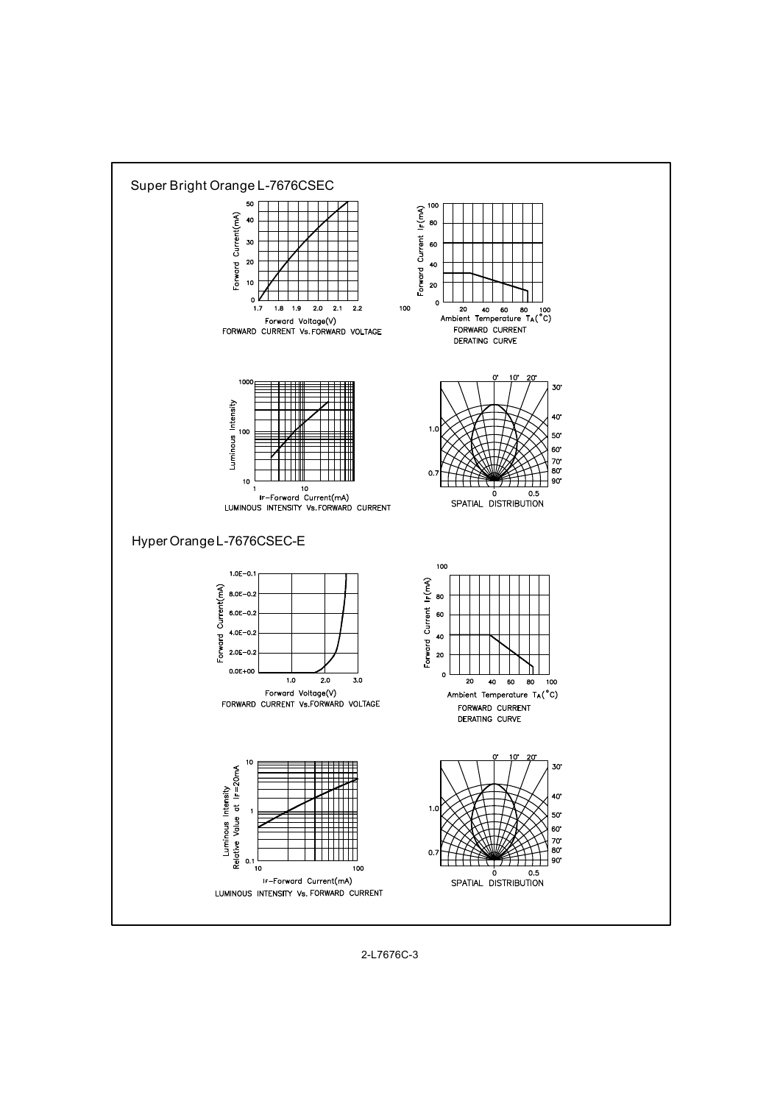

2-L7676C-3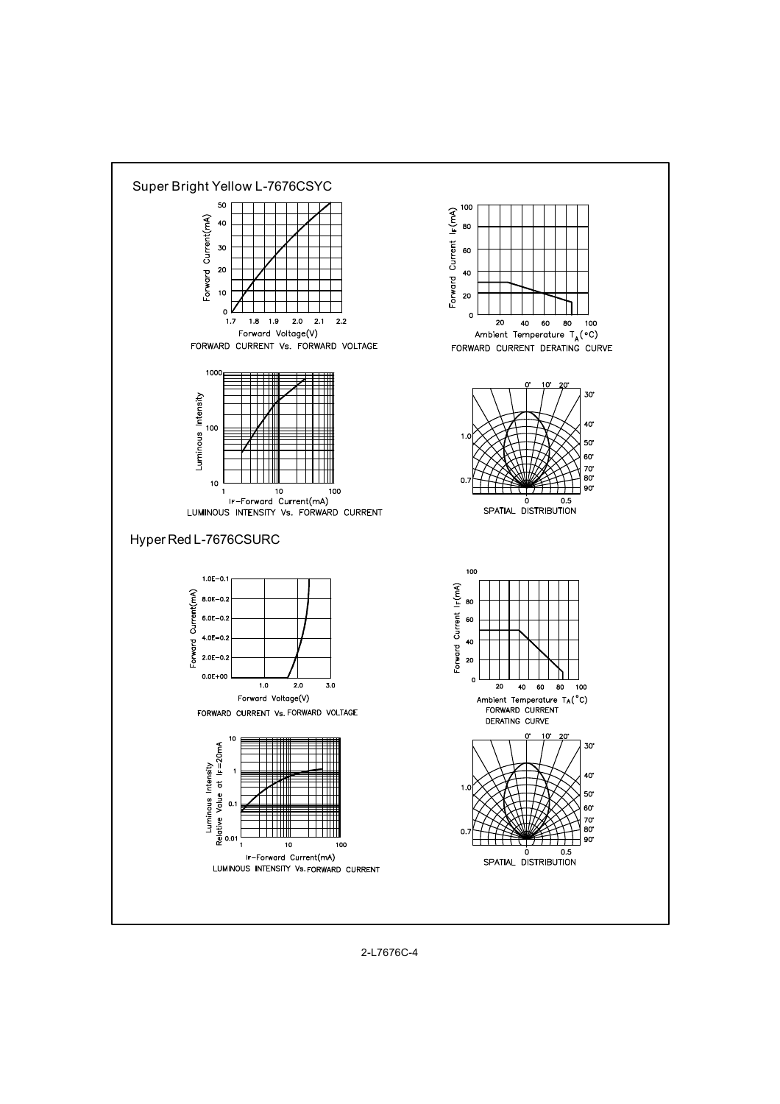

2-L7676C-4